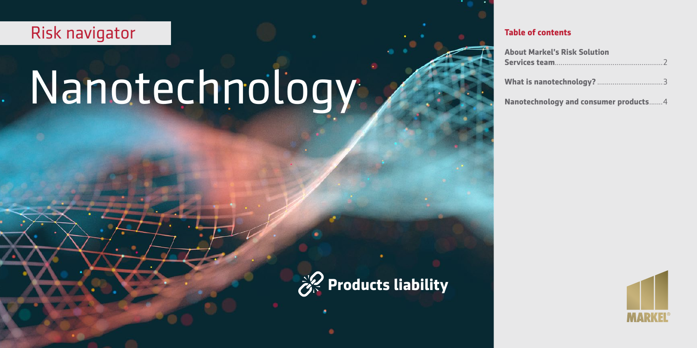# Risk navigator

# Nanotechnology

#### **Table of contents**

| <b>About Markel's Risk Solution</b>   |  |
|---------------------------------------|--|
|                                       |  |
|                                       |  |
| Nanotechnology and consumer products4 |  |



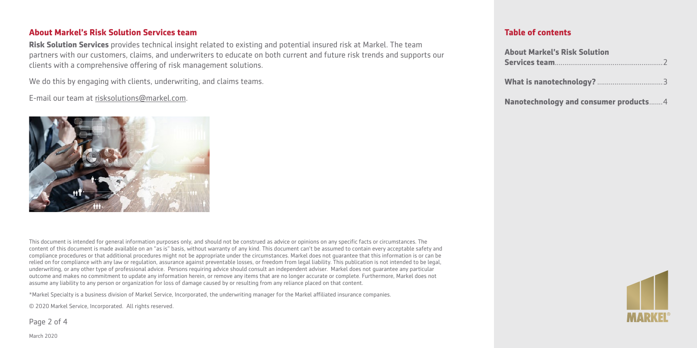#### **About Markel's Risk Solution Services team**

**Risk Solution Services** provides technical insight related to existing and potential insured risk at Markel. The team partners with our customers, claims, and underwriters to educate on both current and future risk trends and supports our clients with a comprehensive offering of risk management solutions.

We do this by engaging with clients, underwriting, and claims teams.

E-mail our team at [risksolutions@markel.com](mailto:risksolutions@markel.com).



This document is intended for general information purposes only, and should not be construed as advice or opinions on any specific facts or circumstances. The content of this document is made available on an "as is" basis, without warranty of any kind. This document can't be assumed to contain every acceptable safety and compliance procedures or that additional procedures might not be appropriate under the circumstances. Markel does not guarantee that this information is or can be relied on for compliance with any law or regulation, assurance against preventable losses, or freedom from legal liability. This publication is not intended to be legal, underwriting, or any other type of professional advice. Persons requiring advice should consult an independent adviser. Markel does not guarantee any particular outcome and makes no commitment to update any information herein, or remove any items that are no longer accurate or complete. Furthermore, Markel does not assume any liability to any person or organization for loss of damage caused by or resulting from any reliance placed on that content.

\*Markel Specialty is a business division of Markel Service, Incorporated, the underwriting manager for the Markel affiliated insurance companies.

© 2020 Markel Service, Incorporated. All rights reserved.

Page 2 of 4

#### **Table of contents**

| <b>About Markel's Risk Solution</b>   |  |
|---------------------------------------|--|
|                                       |  |
|                                       |  |
| Nanotechnology and consumer products4 |  |



March 2020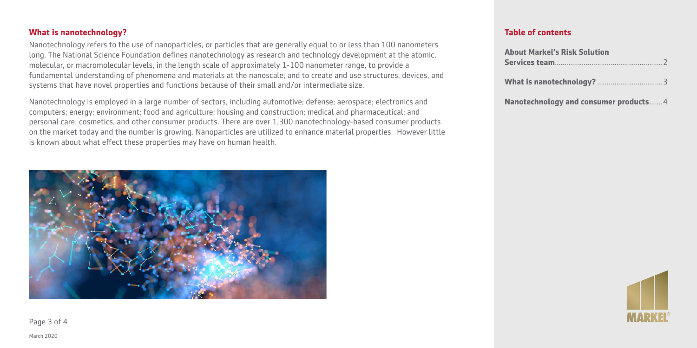#### **What is nanotechnology?**

Nanotechnology refers to the use of nanoparticles, or particles that are generally equal to or less than 100 nanometers long. The National Science Foundation defines nanotechnology as research and technology development at the atomic, molecular, or macromolecular levels, in the length scale of approximately 1-100 nanometer range, to provide a fundamental understanding of phenomena and materials at the nanoscale; and to create and use structures, devices, and systems that have novel properties and functions because of their small and/or intermediate size.

Nanotechnology is employed in a large number of sectors, including automotive; defense; aerospace; electronics and computers; energy; environment; food and agriculture; housing and construction; medical and pharmaceutical; and personal care, cosmetics, and other consumer products. There are over 1,300 nanotechnology-based consumer products on the market today and the number is growing. Nanoparticles are utilized to enhance material properties. However little is known about what effect these properties may have on human health.



### **Table of contents**

| <b>About Markel's Risk Solution</b>   |  |
|---------------------------------------|--|
|                                       |  |
|                                       |  |
|                                       |  |
|                                       |  |
| Nanotechnology and consumer products4 |  |